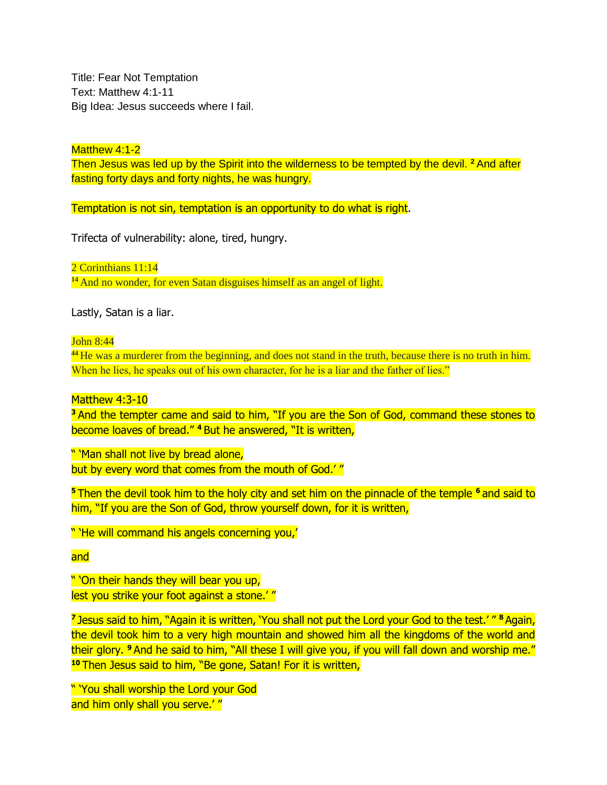Title: Fear Not Temptation Text: Matthew 4:1-11 Big Idea: Jesus succeeds where I fail.

Matthew 4:1-2

Then Jesus was led up by the Spirit into the wilderness to be tempted by the devil. **<sup>2</sup>**And after fasting forty days and forty nights, he was hungry.

Temptation is not sin, temptation is an opportunity to do what is right.

Trifecta of vulnerability: alone, tired, hungry.

2 Corinthians 11:14 <sup>14</sup> And no wonder, for even Satan disguises himself as an angel of light.

Lastly, Satan is a liar.

John 8:44

<sup>44</sup> He was a murderer from the beginning, and does not stand in the truth, because there is no truth in him. When he lies, he speaks out of his own character, for he is a liar and the father of lies."

Matthew 4:3-10

<sup>3</sup> And the tempter came and said to him, "If you are the Son of God, command these stones to become loaves of bread." **<sup>4</sup>**But he answered, "It is written,

" 'Man shall not live by bread alone, but by every word that comes from the mouth of God.'"

**<sup>5</sup>**Then the devil took him to the holy city and set him on the pinnacle of the temple **<sup>6</sup>**and said to him, "If you are the Son of God, throw yourself down, for it is written,

" 'He will command his angels concerning you,'

and

" 'On their hands they will bear you up, lest you strike your foot against a stone.'"

**<sup>7</sup>**Jesus said to him, "Again it is written, 'You shall not put the Lord your God to the test.' " **<sup>8</sup>**Again, the devil took him to a very high mountain and showed him all the kingdoms of the world and their glory. **<sup>9</sup>**And he said to him, "All these I will give you, if you will fall down and worship me." **<sup>10</sup>**Then Jesus said to him, "Be gone, Satan! For it is written,

" 'You shall worship the Lord your God and him only shall you serve.' "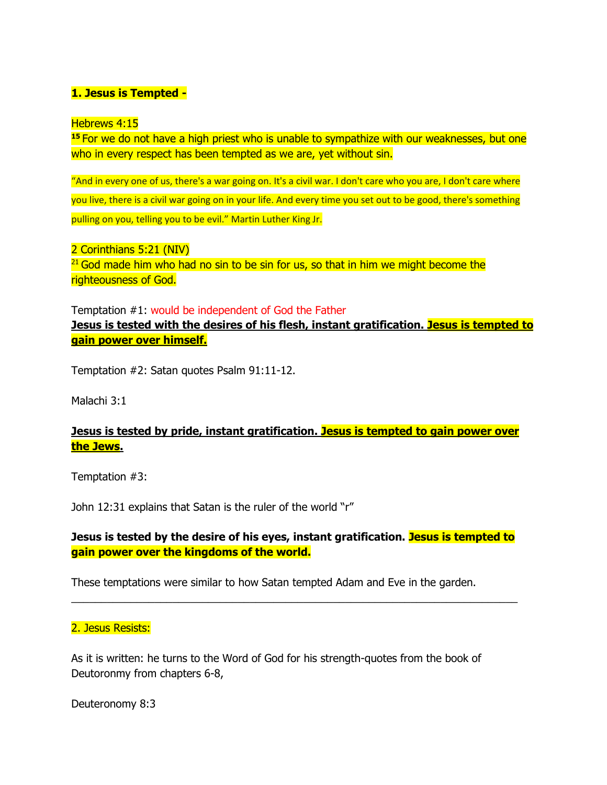### **1. Jesus is Tempted -**

#### Hebrews 4:15

**<sup>15</sup>**For we do not have a high priest who is unable to sympathize with our weaknesses, but one who in every respect has been tempted as we are, yet without sin.

"And in every one of us, there's a war going on. It's a civil war. I don't care who you are, I don't care where you live, there is a civil war going on in your life. And every time you set out to be good, there's something pulling on you, telling you to be evil." Martin Luther King Jr.

#### 2 Corinthians 5:21 (NIV)

 $21$  God made him who had no sin to be sin for us, so that in him we might become the righteousness of God.

Temptation #1: would be independent of God the Father **Jesus is tested with the desires of his flesh, instant gratification. Jesus is tempted to gain power over himself.**

Temptation #2: Satan quotes Psalm 91:11-12.

Malachi 3:1

## **Jesus is tested by pride, instant gratification. Jesus is tempted to gain power over the Jews.**

Temptation #3:

John 12:31 explains that Satan is the ruler of the world "r"

### **Jesus is tested by the desire of his eyes, instant gratification. Jesus is tempted to gain power over the kingdoms of the world.**

\_\_\_\_\_\_\_\_\_\_\_\_\_\_\_\_\_\_\_\_\_\_\_\_\_\_\_\_\_\_\_\_\_\_\_\_\_\_\_\_\_\_\_\_\_\_\_\_\_\_\_\_\_\_\_\_\_\_\_\_\_\_\_\_\_\_\_\_\_\_\_\_\_\_\_

These temptations were similar to how Satan tempted Adam and Eve in the garden.

#### 2. Jesus Resists:

As it is written: he turns to the Word of God for his strength-quotes from the book of Deutoronmy from chapters 6-8,

Deuteronomy 8:3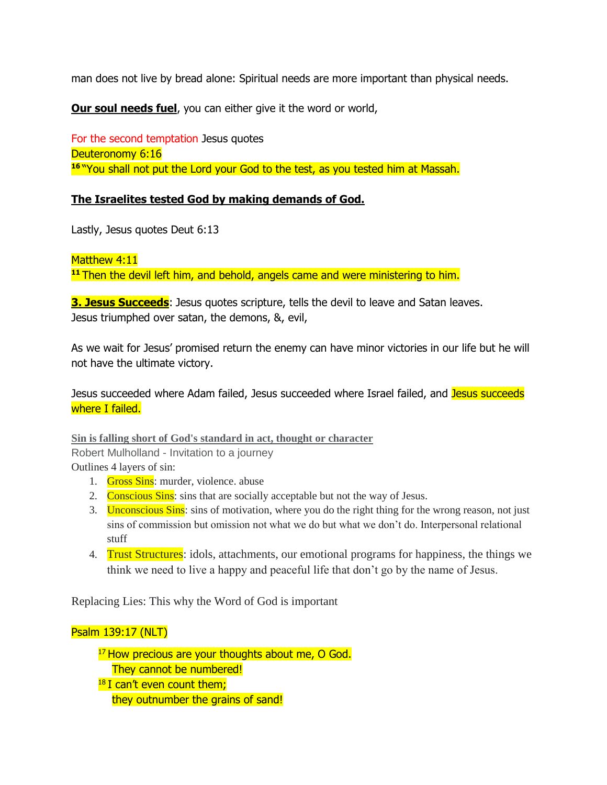man does not live by bread alone: Spiritual needs are more important than physical needs.

**Our soul needs fuel**, you can either give it the word or world,

For the second temptation Jesus quotes Deuteronomy 6:16 **<sup>16</sup>**"You shall not put the Lord your God to the test, as you tested him at Massah.

### **The Israelites tested God by making demands of God.**

Lastly, Jesus quotes Deut 6:13

Matthew 4:11

**<sup>11</sup>**Then the devil left him, and behold, angels came and were ministering to him.

**3. Jesus Succeeds**: Jesus quotes scripture, tells the devil to leave and Satan leaves. Jesus triumphed over satan, the demons, &, evil,

As we wait for Jesus' promised return the enemy can have minor victories in our life but he will not have the ultimate victory.

Jesus succeeded where Adam failed, Jesus succeeded where Israel failed, and Jesus succeeds where I failed.

**Sin is falling short of God's standard in act, thought or character**

Robert Mulholland - Invitation to a journey Outlines 4 layers of sin:

- 1. Gross Sins: murder, violence. abuse
- 2. Conscious Sins: sins that are socially acceptable but not the way of Jesus.
- 3. Unconscious Sins: sins of motivation, where you do the right thing for the wrong reason, not just sins of commission but omission not what we do but what we don't do. Interpersonal relational stuff
- 4. Trust Structures: idols, attachments, our emotional programs for happiness, the things we think we need to live a happy and peaceful life that don't go by the name of Jesus.

Replacing Lies: This why the Word of God is important

# Psalm 139:17 (NLT)

 $17$  How precious are your thoughts about me, O God. They cannot be numbered!  $18$  I can't even count them; they outnumber the grains of sand!